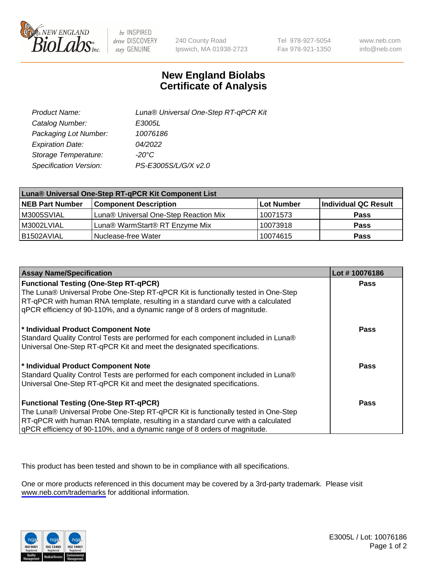

be INSPIRED drive DISCOVERY stay GENUINE

240 County Road Ipswich, MA 01938-2723 Tel 978-927-5054 Fax 978-921-1350

www.neb.com info@neb.com

## **New England Biolabs Certificate of Analysis**

| Product Name:           | Luna® Universal One-Step RT-qPCR Kit |
|-------------------------|--------------------------------------|
| Catalog Number:         | E3005L                               |
| Packaging Lot Number:   | 10076186                             |
| <b>Expiration Date:</b> | 04/2022                              |
| Storage Temperature:    | $-20^{\circ}$ C                      |
| Specification Version:  | PS-E3005S/L/G/X v2.0                 |

| Luna® Universal One-Step RT-qPCR Kit Component List |                                       |            |                      |  |
|-----------------------------------------------------|---------------------------------------|------------|----------------------|--|
| <b>NEB Part Number</b>                              | <b>Component Description</b>          | Lot Number | Individual QC Result |  |
| M3005SVIAL                                          | Luna® Universal One-Step Reaction Mix | 10071573   | <b>Pass</b>          |  |
| M3002LVIAL                                          | Luna® WarmStart® RT Enzyme Mix        | 10073918   | <b>Pass</b>          |  |
| B1502AVIAL                                          | Nuclease-free Water                   | 10074615   | <b>Pass</b>          |  |

| <b>Assay Name/Specification</b>                                                   | Lot #10076186 |
|-----------------------------------------------------------------------------------|---------------|
| <b>Functional Testing (One-Step RT-qPCR)</b>                                      | <b>Pass</b>   |
| The Luna® Universal Probe One-Step RT-qPCR Kit is functionally tested in One-Step |               |
| RT-qPCR with human RNA template, resulting in a standard curve with a calculated  |               |
| gPCR efficiency of 90-110%, and a dynamic range of 8 orders of magnitude.         |               |
| * Individual Product Component Note                                               | <b>Pass</b>   |
| Standard Quality Control Tests are performed for each component included in Luna® |               |
| Universal One-Step RT-qPCR Kit and meet the designated specifications.            |               |
| * Individual Product Component Note                                               | Pass          |
| Standard Quality Control Tests are performed for each component included in Luna® |               |
| Universal One-Step RT-qPCR Kit and meet the designated specifications.            |               |
| <b>Functional Testing (One-Step RT-qPCR)</b>                                      | <b>Pass</b>   |
| The Luna® Universal Probe One-Step RT-qPCR Kit is functionally tested in One-Step |               |
| RT-qPCR with human RNA template, resulting in a standard curve with a calculated  |               |
| gPCR efficiency of 90-110%, and a dynamic range of 8 orders of magnitude.         |               |

This product has been tested and shown to be in compliance with all specifications.

One or more products referenced in this document may be covered by a 3rd-party trademark. Please visit <www.neb.com/trademarks>for additional information.